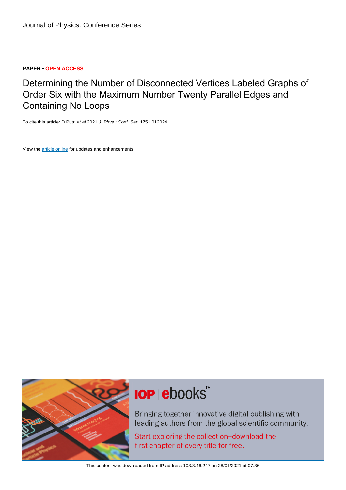# **PAPER • OPEN ACCESS**

Determining the Number of Disconnected Vertices Labeled Graphs of Order Six with the Maximum Number Twenty Parallel Edges and Containing No Loops

To cite this article: D Putri et al 2021 J. Phys.: Conf. Ser. **1751** 012024

View the [article online](https://doi.org/10.1088/1742-6596/1751/1/012024) for updates and enhancements.



# **IOP ebooks™**

Bringing together innovative digital publishing with leading authors from the global scientific community.

Start exploring the collection-download the first chapter of every title for free.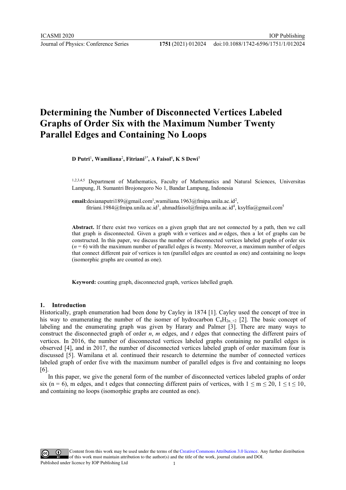# **Determining the Number of Disconnected Vertices Labeled Graphs of Order Six with the Maximum Number Twenty Parallel Edges and Containing No Loops**

**D Putri**<sup>1</sup> **, Wamiliana**<sup>2</sup> **, Fitriani**3\***, A Faisol**<sup>4</sup> **, K S Dewi**<sup>5</sup>

1,2,3,4,5 Department of Mathematics, Faculty of Mathematics and Natural Sciences, Universitas Lampung, Jl. Sumantri Brojonegoro No 1, Bandar Lampung, Indonesia

email:desianaputri189@gmail.com<sup>1</sup>,wamiliana.1963@fmipa.unila.ac.id<sup>2</sup>, fitriani.1984@fmipa.unila.ac.id<sup>3</sup>, ahmadfaisol@fmipa.unila.ac.id<sup>4</sup>, ksylfia@gmail.com<sup>5</sup>

**Abstract.** If there exist two vertices on a given graph that are not connected by a path, then we call that graph is disconnected. Given a graph with *n* vertices and *m* edges, then a lot of graphs can be constructed. In this paper, we discuss the number of disconnected vertices labeled graphs of order six  $(n = 6)$  with the maximum number of parallel edges is twenty. Moreover, a maximum number of edges that connect different pair of vertices is ten (parallel edges are counted as one) and containing no loops (isomorphic graphs are counted as one).

**Keyword:** counting graph, disconnected graph, vertices labelled graph.

#### **1. Introduction**

Historically, graph enumeration had been done by Cayley in 1874 [1]. Cayley used the concept of tree in his way to enumerating the number of the isomer of hydrocarbon  $C_nH_{2n+2}$  [2]. The basic concept of labeling and the enumerating graph was given by Harary and Palmer [3]. There are many ways to construct the disconnected graph of order *n*, *m* edges, and *t* edges that connecting the different pairs of vertices. In 2016, the number of disconnected vertices labeled graphs containing no parallel edges is observed [4], and in 2017, the number of disconnected vertices labeled graph of order maximum four is discussed [5]. Wamilana et al. continued their research to determine the number of connected vertices labeled graph of order five with the maximum number of parallel edges is five and containing no loops [6].

In this paper, we give the general form of the number of disconnected vertices labeled graphs of order six (n = 6), m edges, and t edges that connecting different pairs of vertices, with  $1 \le m \le 20$ ,  $1 \le t \le 10$ , and containing no loops (isomorphic graphs are counted as one).

Content from this work may be used under the terms of theCreative Commons Attribution 3.0 licence. Any further distribution of this work must maintain attribution to the author(s) and the title of the work, journal citation and DOI. Published under licence by IOP Publishing Ltd 1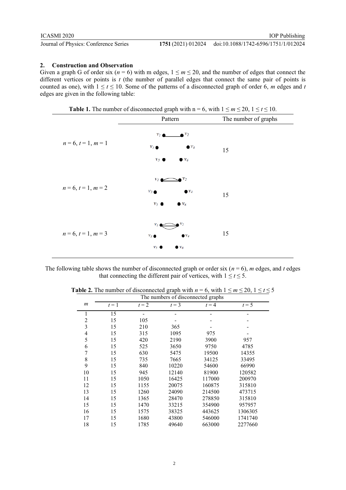#### ICASMI 2020

Journal of Physics: Conference Series **1751** (2021) 012024

# **2. Construction and Observation**

Given a graph G of order six ( $n = 6$ ) with m edges,  $1 \le m \le 20$ , and the number of edges that connect the different vertices or points is *t* (the number of parallel edges that connect the same pair of points is counted as one), with  $1 \le t \le 10$ . Some of the patterns of a disconnected graph of order 6, *m* edges and *t* edges are given in the following table:

**Table 1.** The number of disconnected graph with  $n = 6$ , with  $1 \le m \le 20$ ,  $1 \le t \le 10$ .



The following table shows the number of disconnected graph or order six ( $n = 6$ ),  $m$  edges, and  $t$  edges that connecting the different pair of vertices, with  $1 \le t \le 5$ .

|                  | The numbers of disconnected graphs |         |       |         |         |
|------------------|------------------------------------|---------|-------|---------|---------|
| $\boldsymbol{m}$ | $t=1$                              | $t = 2$ | $t=3$ | $t = 4$ | $t = 5$ |
| 1                | 15                                 | -       |       |         |         |
| $\overline{c}$   | 15                                 | 105     |       |         |         |
| 3                | 15                                 | 210     | 365   |         |         |
| 4                | 15                                 | 315     | 1095  | 975     |         |
| 5                | 15                                 | 420     | 2190  | 3900    | 957     |
| 6                | 15                                 | 525     | 3650  | 9750    | 4785    |
| $\overline{7}$   | 15                                 | 630     | 5475  | 19500   | 14355   |
| 8                | 15                                 | 735     | 7665  | 34125   | 33495   |
| 9                | 15                                 | 840     | 10220 | 54600   | 66990   |
| 10               | 15                                 | 945     | 12140 | 81900   | 120582  |
| 11               | 15                                 | 1050    | 16425 | 117000  | 200970  |
| 12               | 15                                 | 1155    | 20075 | 160875  | 315810  |
| 13               | 15                                 | 1260    | 24090 | 214500  | 473715  |
| 14               | 15                                 | 1365    | 28470 | 278850  | 315810  |
| 15               | 15                                 | 1470    | 33215 | 354900  | 957957  |
| 16               | 15                                 | 1575    | 38325 | 443625  | 1306305 |
| 17               | 15                                 | 1680    | 43800 | 546000  | 1741740 |
| 18               | 15                                 | 1785    | 49640 | 663000  | 2277660 |

**Table 2.** The number of disconnected graph with  $n = 6$ , with  $1 \le m \le 20$ ,  $1 \le t \le 5$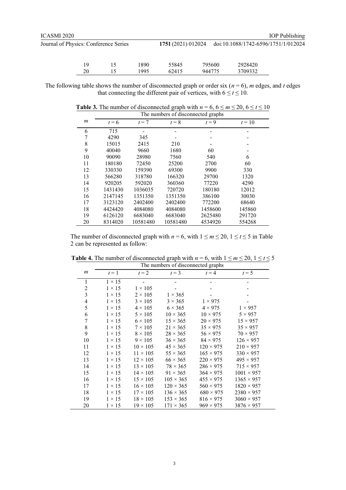| ICASMI 2020                           |    |    |      |                    |  |        | <b>IOP</b> Publishing |                                     |
|---------------------------------------|----|----|------|--------------------|--|--------|-----------------------|-------------------------------------|
| Journal of Physics: Conference Series |    |    |      | 1751 (2021) 012024 |  |        |                       | doi:10.1088/1742-6596/1751/1/012024 |
|                                       | 19 |    | 1890 | 55845              |  | 795600 | 2928420               |                                     |
|                                       | 20 | 15 | 1995 | 62415              |  | 944775 | 3709332               |                                     |

The following table shows the number of disconnected graph or order six ( $n = 6$ ),  $m$  edges, and  $t$  edges that connecting the different pair of vertices, with  $6 \le t \le 10$ .

|    | The numbers of disconnected graphs |          |          |         |          |
|----|------------------------------------|----------|----------|---------|----------|
| m  | $t=6$                              | $t = 7$  | $t = 8$  | $t = 9$ | $t = 10$ |
| 6  | 715                                |          |          |         |          |
| 7  | 4290                               | 345      |          |         |          |
| 8  | 15015                              | 2415     | 210      |         |          |
| 9  | 40040                              | 9660     | 1680     | 60      |          |
| 10 | 90090                              | 28980    | 7560     | 540     | 6        |
| 11 | 180180                             | 72450    | 25200    | 2700    | 60       |
| 12 | 330330                             | 159390   | 69300    | 9900    | 330      |
| 13 | 566280                             | 318780   | 166320   | 29700   | 1320     |
| 14 | 920205                             | 592020   | 360360   | 77220   | 4290     |
| 15 | 1431430                            | 1036035  | 720720   | 180180  | 12012    |
| 16 | 2147145                            | 1351350  | 1351350  | 386100  | 30030    |
| 17 | 3123120                            | 2402400  | 2402400  | 772200  | 68640    |
| 18 | 4424420                            | 4084080  | 4084080  | 1458600 | 145860   |
| 19 | 6126120                            | 6683040  | 6683040  | 2625480 | 291720   |
| 20 | 8314020                            | 10581480 | 10581480 | 4534920 | 554268   |

**Table 3.** The number of disconnected graph with  $n = 6, 6 \le m \le 20, 6 \le t \le 10$ 

The number of disconnected graph with  $n = 6$ , with  $1 \le m \le 20$ ,  $1 \le t \le 5$  in Table 2 can be represented as follow:

|                         | The numbers of disconnected graphs |                 |                  |                  |                   |
|-------------------------|------------------------------------|-----------------|------------------|------------------|-------------------|
| $\boldsymbol{m}$        | $t=1$                              | $t=2$           | $t=3$            | $t = 4$          | $t=5$             |
| 1                       | $1 \times 15$                      |                 |                  |                  |                   |
| $\overline{c}$          | $1 \times 15$                      | $1 \times 105$  |                  |                  |                   |
| $\overline{\mathbf{3}}$ | $1 \times 15$                      | $2 \times 105$  | $1 \times 365$   |                  |                   |
| 4                       | $1 \times 15$                      | $3 \times 105$  | $3 \times 365$   | $1 \times 975$   |                   |
| 5                       | $1 \times 15$                      | $4 \times 105$  | $6 \times 365$   | $4 \times 975$   | $1 \times 957$    |
| 6                       | $1 \times 15$                      | $5 \times 105$  | $10 \times 365$  | $10 \times 975$  | $5 \times 957$    |
| $\tau$                  | $1 \times 15$                      | $6 \times 105$  | $15 \times 365$  | $20 \times 975$  | $15 \times 957$   |
| 8                       | $1 \times 15$                      | $7 \times 105$  | $21 \times 365$  | $35 \times 975$  | $35 \times 957$   |
| 9                       | $1 \times 15$                      | $8 \times 105$  | $28 \times 365$  | $56 \times 975$  | $70 \times 957$   |
| 10                      | $1 \times 15$                      | $9 \times 105$  | $36 \times 365$  | $84 \times 975$  | $126 \times 957$  |
| 11                      | $1 \times 15$                      | $10 \times 105$ | $45 \times 365$  | $120 \times 975$ | $210 \times 957$  |
| 12                      | $1 \times 15$                      | $11 \times 105$ | $55 \times 365$  | $165 \times 975$ | $330 \times 957$  |
| 13                      | $1 \times 15$                      | $12 \times 105$ | $66 \times 365$  | $220 \times 975$ | $495 \times 957$  |
| 14                      | $1 \times 15$                      | $13 \times 105$ | $78 \times 365$  | $286 \times 975$ | $715 \times 957$  |
| 15                      | $1 \times 15$                      | $14 \times 105$ | $91 \times 365$  | $364 \times 975$ | $1001 \times 957$ |
| 16                      | $1 \times 15$                      | $15 \times 105$ | $105 \times 365$ | $455 \times 975$ | $1365 \times 957$ |
| 17                      | $1 \times 15$                      | $16 \times 105$ | $120 \times 365$ | $560 \times 975$ | $1820 \times 957$ |
| 18                      | $1 \times 15$                      | $17 \times 105$ | $136 \times 365$ | $680 \times 975$ | $2380 \times 957$ |
| 19                      | $1 \times 15$                      | $18 \times 105$ | $153 \times 365$ | $816 \times 975$ | $3060 \times 957$ |
| 20                      | $1 \times 15$                      | $19 \times 105$ | $171 \times 365$ | $969 \times 975$ | $3876 \times 957$ |

**Table 4.** The number of disconnected graph with  $n = 6$ , with  $1 \le m \le 20$ ,  $1 \le t \le 5$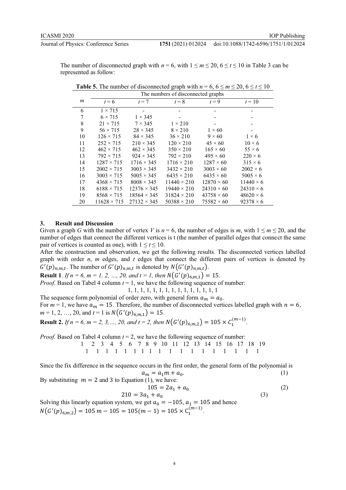IOP Publishing

The number of disconnected graph with  $n = 6$ , with  $1 \le m \le 20$ ,  $6 \le t \le 10$  in Table 3 can be represented as follow:

|                  | The numbers of disconnected graphs |                    |                    |                   |                  |
|------------------|------------------------------------|--------------------|--------------------|-------------------|------------------|
| $\boldsymbol{m}$ | $t = 6$                            | $t=7$              | $t = 8$            | $t=9$             | $t = 10$         |
| 6                | $1 \times 715$                     |                    |                    |                   |                  |
| 7                | $6 \times 715$                     | $1 \times 345$     |                    |                   |                  |
| 8                | $21 \times 715$                    | $7 \times 345$     | $1 \times 210$     |                   |                  |
| 9                | $56 \times 715$                    | $28 \times 345$    | $8 \times 210$     | $1 \times 60$     |                  |
| 10               | $126 \times 715$                   | $84 \times 345$    | $36 \times 210$    | $9 \times 60$     | $1 \times 6$     |
| 11               | $252 \times 715$                   | $210 \times 345$   | $120 \times 210$   | $45 \times 60$    | $10 \times 6$    |
| 12               | $462 \times 715$                   | $462 \times 345$   | $350 \times 210$   | $165 \times 60$   | $55 \times 6$    |
| 13               | $792 \times 715$                   | $924 \times 345$   | $792 \times 210$   | $495 \times 60$   | $220 \times 6$   |
| 14               | $1287 \times 715$                  | $1716 \times 345$  | $1716 \times 210$  | $1287 \times 60$  | $315 \times 6$   |
| 15               | $2002 \times 715$                  | $3003 \times 345$  | $3432 \times 210$  | $3003 \times 60$  | $2002 \times 6$  |
| 16               | $3003 \times 715$                  | $5005 \times 345$  | $6435 \times 210$  | $6435 \times 60$  | $5005 \times 6$  |
| 17               | $4368 \times 715$                  | $8008 \times 345$  | $11440 \times 210$ | $12870 \times 60$ | $11440 \times 6$ |
| 18               | $6188 \times 715$                  | $12376 \times 345$ | $19440 \times 210$ | $24310 \times 60$ | $24310 \times 6$ |
| 19               | $8568 \times 715$                  | $18564 \times 345$ | $31824 \times 210$ | $43758 \times 60$ | $48620 \times 6$ |
| 20               | $11628 \times 715$                 | $27132 \times 345$ | $50388 \times 210$ | $75582 \times 60$ | $92378 \times 6$ |

**Table 5.** The number of disconnected graph with  $n = 6$ ,  $6 \le m \le 20$ ,  $6 \le t \le 10$ 

#### **3. Result and Discussion**

Given a graph *G* with the number of vertex *V* is  $n = 6$ , the number of edges is *m*, with  $1 \le m \le 20$ , and the number of edges that connect the different vertices is t (the number of parallel edges that connect the same pair of vertices is counted as one), with  $1 \le t \le 10$ .

After the construction and observation, we get the following results. The disconnected vertices labelled graph with order *n*, *m* edges, and *t* edges that connect the different pairs of vertices is denoted by  $G'(p)_{n,m,t}$ . The number of  $G'(p)_{n,m,t}$  is denoted by  $N(G'(p)_{n,m,t})$ .

**Result 1.** If  $n = 6$ ,  $m = 1, 2, ..., 20$ , and  $t = 1$ , then  $N(G'(p)_{6,m,1}) = 15$ . *Proof.* Based on Tabel 4 column  $t = 1$ , we have the following sequence of number:

1, 1, 1, 1, 1, 1, 1, 1, 1, 1, 1, 1, 1, 1, 1

The sequence form polynomial of order zero, with general form  $a_m = a_0$ . For  $m = 1$ , we have  $a_m = 15$ . Therefore, the number of disconnected vertices labelled graph with  $n = 6$ ,  $m = 1, 2, ..., 20$ , and  $t = 1$  is  $N(G'(p)_{6,m,1}) = 15$ .

**Result 2.** *If*  $n = 6$ ,  $m = 2, 3, ..., 20$ , and  $t = 2$ , then  $N(G'(p)_{6,m,2}) = 105 \times C_1^{(m-1)}$ .

*Proof.* Based on Tabel 4 column  $t = 2$ , we have the following sequence of number: 1 2 3 4 5 6 7 8 9 10 11 12 13 14 15 16 17 18 19

1 1 1 1 1 1 1 1 1 1 1 1 1 1 1 1 1 1

Since the fix difference in the sequence occurs in the first order, the general form of the polynomial is

$$
a_m = a_1 m + a_0.
$$
  
By substituting  $m = 2$  and 3 to Equation (1), we have:

$$
105 = 2a_1 + a_0
$$
 (2)  

$$
210 = 3a_1 + a_0
$$
 (3)

Solving this linearly equation system, we get  $a_0 = -105$ ,  $a_1 = 105$  and hence  $N(G'(p)_{6,m,2}) = 105 \, m - 105 = 105(m-1) = 105 \times C_1^{(m-1)}$ .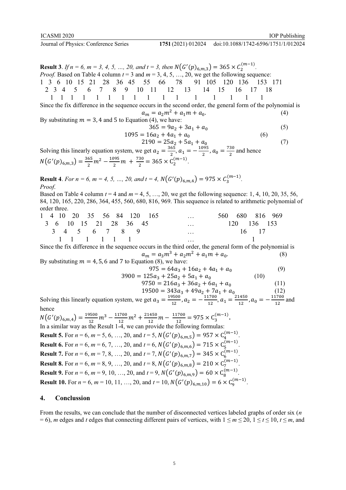# doi:10.1088/1742-6596/1751/1/012024

IOP Publishing

**Result 3.** *If*  $n = 6$ ,  $m = 3, 4, 5, ..., 20$ , and  $t = 3$ , then  $N(G'(p)_{6,m,3}) = 365 \times C_2^{(m-1)}$ . *Proof.* Based on Table 4 column  $t = 3$  and  $m = 3, 4, 5, ..., 20$ , we get the following sequence: 1 3 6 10 15 21 28 36 45 55 66 78 91 105 120 136 153 171 2 3 4 5 6 7 8 9 10 11 12 13 14 15 16 17 18 1 1 1 1 1 1 1 1 1 1 1 1 1 1 1 1

Since the fix difference in the sequence occurs in the second order, the general form of the polynomial is  $a_{\mu} = a_2 m^2 + a_3 m + a_4 m$ 

By substituting 
$$
m = 3, 4
$$
 and 5 to Equation (4), we have:

$$
365 = 9a_2 + 3a_1 + a_0
$$
(5)  

$$
1095 = 16a_1 + 4a_2 + a_3
$$
(6)

$$
1095 = 16a2 + 4a1 + a0
$$
  
2190 = 25a<sub>2</sub> + 5a<sub>1</sub> + a<sub>0</sub> (6) (7)

Solving this linearly equation system, we get  $a_2 = \frac{365}{2}$ ,  $a_1 = \frac{1095}{2}$ ,  $a_0 = \frac{730}{2}$  and hence  $N(G'(p)_{6,m,3}) = \frac{365}{2}m^2 - \frac{1095}{2}m + \frac{730}{2} = 365 \times C_2^{(m-1)}$ .

**Result 4.** For  $n = 6$ ,  $m = 4, 5, ..., 20$ , and  $t = 4$ ,  $N(G'(p)_{6,m,4}) = 975 \times C_3^{(m-1)}$ . *Proof*.

Based on Table 4 column  $t = 4$  and  $m = 4, 5, ..., 20$ , we get the following sequence: 1, 4, 10, 20, 35, 56, 84, 120, 165, 220, 286, 364, 455, 560, 680, 816, 969. This sequence is related to arithmetic polynomial of order three.

| 1 4 10 20 35 56 84 120 165 | $\cdots$                 | 560 680 816 969 |
|----------------------------|--------------------------|-----------------|
| 3 6 10 15 21 28 36 45      | $\cdots$                 | 120 136 153     |
| 3 4 5 6 7 8 9              | $\cdot \cdot$ $\cdot$    | 16 17           |
| 1 1 1 1 1 1 1              | <b>Contract Contract</b> |                 |

Since the fix difference in the sequence occurs in the third order, the general form of the polynomial is  $a_m = a_3 m^3 + a_2 m^2 + a_1 m + a_0.$  (8)

By substituting  $m = 4, 5, 6$  and 7 to Equation (8), we have:

$$
975 = 64a_3 + 16a_2 + 4a_1 + a_0
$$
(9)  

$$
3900 = 125a_3 + 25a_2 + 5a_1 + a_0
$$
(10)

$$
3900 - 125a_3 + 25a_2 + 3a_1 + a_0 \tag{10}
$$
  

$$
9750 = 216a_3 + 36a_2 + 6a_1 + a_0 \tag{11}
$$

$$
19500 = 343a_3 + 49a_2 + 7a_1 + a_0 \tag{12}
$$

Solving this linearly equation system, we get  $a_3 = \frac{19500}{12}$ ,  $a_2 = -\frac{11700}{12}$ ,  $a_1 = \frac{21450}{12}$ ,  $a_0 = -\frac{11700}{12}$  and hence

 $N(G'(p)_{6,m,4}) = \frac{19500}{12}m^3 - \frac{11700}{12}m^2 + \frac{21450}{12}m - \frac{11700}{12}$  $\frac{1700}{12}$  = 975 × C<sub>3</sub><sup>(m-1)</sup>. In a similar way as the Result 1-4, we can provide the following formulas: **Result 5.** For  $n = 6$ ,  $m = 5, 6, ..., 20$ , and  $t = 5$ ,  $N(G'(p)_{6,m,5}) = 957 \times C_4^{(m-1)}$ . **Result 6.** For  $n = 6, m = 6, 7, ..., 20$ , and  $t = 6, N(G'(p)_{6,m,6}) = 715 \times C_5^{(m-1)}$ . **Result 7.** For  $n = 6$ ,  $m = 7, 8, ..., 20$ , and  $t = 7$ ,  $N(G'(p)_{6,m,7}) = 345 \times C_6^{(m-1)}$ . **Result 8.** For  $n = 6$ ,  $m = 8, 9, ..., 20$ , and  $t = 8$ ,  $N(G'(p)_{6,m,8}) = 210 \times C_7^{(m-1)}$ . **Result 9.** For  $n = 6$ ,  $m = 9, 10, ..., 20$ , and  $t = 9, N(G'(p)_{6,m,9}) = 60 \times C_8^{(m-1)}$ . **Result 10.** For  $n = 6$ ,  $m = 10, 11, ..., 20$ , and  $t = 10$ ,  $N(G'(p)_{6,m,10}) = 6 \times C_9^{(m-1)}$ .

### **4. Conclussion**

From the results, we can conclude that the number of disconnected vertices labeled graphs of order six (*n*  $= 6$ ), *m* edges and *t* edges that connecting different pairs of vertices, with  $1 \le m \le 20$ ,  $1 \le t \le 10$ ,  $t \le m$ , and